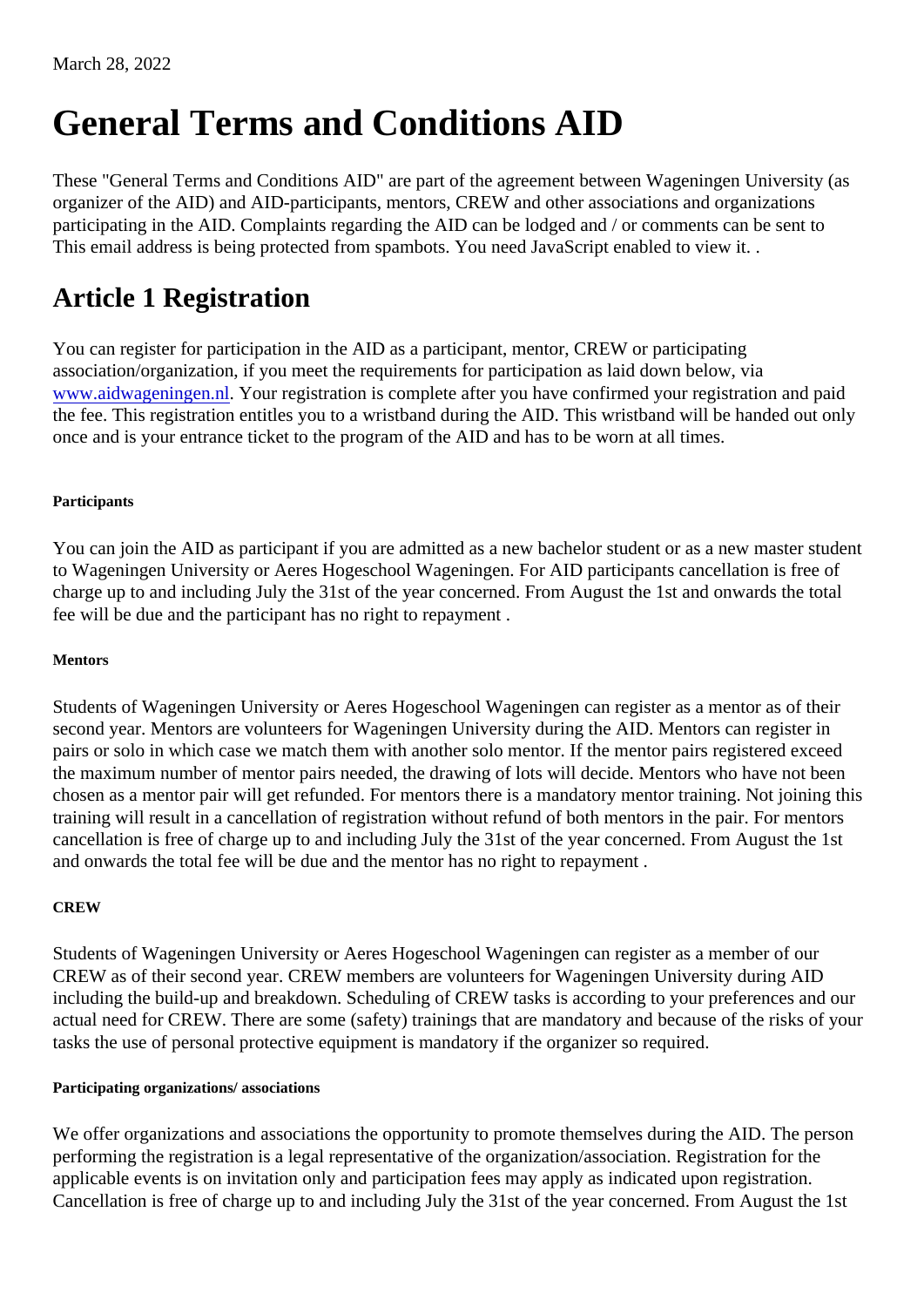# General Terms and Conditions AID

These "General Terms and Conditions AID" are part of the agreement between Wageningen University (a organizer of the AID) and AID-participants, mentors, CREW and other associations and organizations participating in the AID. Complaints regarding the AID can be lodged and / or comments can be sent to This email address is being protected from spambots. You need JavaScript enabled to view it. .

# Article 1 Registration

You can register for participation in the AID as a participant, mentor, CREW or participating association/organization, if you meet the requirements for participation as laid down below, via [www.aidwageningen.n](https://www.aidwageningen.nl)l Your registration is complete after you have confirmed your registration and paid the fee. This registration entitles you to a wristband during the AID. This wristband will be handed out only once and is your entrance ticket to the program of the AID and has to be worn at all times.

#### Participants

You can join the AID as participant if you are admitted as a new bachelor student or as a nextundestion to Wageningen University or Aeres Hogeschool Wageningen. For AID participants cancellation is free of charge up to and including July the 31st of the year concerned. From August the 1st and onwards the total fee will be due and the participant has no right to repayment .

#### **Mentors**

Students of Wageningen University or Aeres Hogeschool Wageningen can register as a mentor as of their second year. Mentors are volunteers for Wageningen University during the AID. Mentors can register in pairs or solo in which case we match them with another solo mentor. If the mentor pairs registered exceed the maximum number of mentor pairs needed, the drawing of lots will decide. Mentors who have not been chosen as a mentor pair will get refunded. For mentors there is a mandatory mentor training. Not joining the training will result in a cancellation of registration without refund of both mentors in the pair. For mentors cancellation is free of charge up to and including July the 31st of the year concerned. From August the 1st and onwards the total fee will be due and the mentor has no right to repayment .

#### **CREW**

Students of Wageningen University or Aeres Hogeschool Wageningen can register as a member of our CREW as of their second year. CREW members are volunteers for Wageningen University during AID including the build-up and breakdown. Scheduling of CREW tasks is according to your preferences and our actual need for CREW. There are some (safety) trainings that are mandatory and because of the risks of y tasks the use of personal protective equipment is mandatory if the organizer so required.

#### Participating organizations/ associations

We offer organizations and associations the opportunity to promote themselves during the AID. The person performing the registration is a legal representative of the organization/association. Registration for the applicable events is on invitation only and participation fees may apply as indicated upon registration. Cancellation is free of charge up to and including July the 31st of the year concerned. From August the 1st